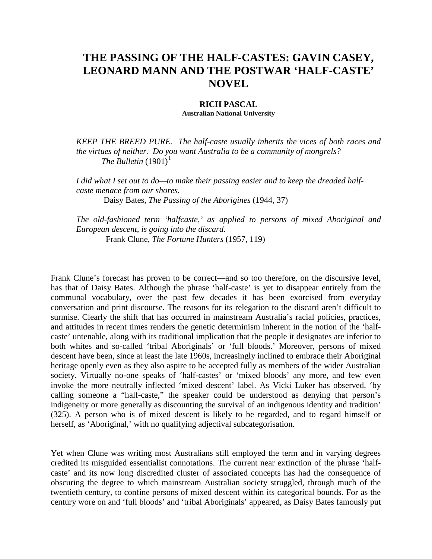## **THE PASSING OF THE HALF-CASTES: GAVIN CASEY, LEONARD MANN AND THE POSTWAR 'HALF-CASTE' NOVEL**

## **RICH PASCAL**

**Australian National University**

*KEEP THE BREED PURE. The half-caste usually inherits the vices of both races and the virtues of neither. Do you want Australia to be a community of mongrels? The Bulletin*  $(1901)^1$  $(1901)^1$  $(1901)^1$ 

*I did what I set out to do—to make their passing easier and to keep the dreaded halfcaste menace from our shores.* Daisy Bates*, The Passing of the Aborigines* (1944, 37)

*The old-fashioned term 'halfcaste,' as applied to persons of mixed Aboriginal and European descent, is going into the discard.*  Frank Clune, *The Fortune Hunters* (1957, 119)

Frank Clune's forecast has proven to be correct—and so too therefore, on the discursive level, has that of Daisy Bates. Although the phrase 'half-caste' is yet to disappear entirely from the communal vocabulary, over the past few decades it has been exorcised from everyday conversation and print discourse. The reasons for its relegation to the discard aren't difficult to surmise. Clearly the shift that has occurred in mainstream Australia's racial policies, practices, and attitudes in recent times renders the genetic determinism inherent in the notion of the 'halfcaste' untenable, along with its traditional implication that the people it designates are inferior to both whites and so-called 'tribal Aboriginals' or 'full bloods.' Moreover, persons of mixed descent have been, since at least the late 1960s, increasingly inclined to embrace their Aboriginal heritage openly even as they also aspire to be accepted fully as members of the wider Australian society. Virtually no-one speaks of 'half-castes' or 'mixed bloods' any more, and few even invoke the more neutrally inflected 'mixed descent' label. As Vicki Luker has observed, 'by calling someone a "half-caste," the speaker could be understood as denying that person's indigeneity or more generally as discounting the survival of an indigenous identity and tradition' (325). A person who is of mixed descent is likely to be regarded, and to regard himself or herself, as 'Aboriginal,' with no qualifying adjectival subcategorisation.

Yet when Clune was writing most Australians still employed the term and in varying degrees credited its misguided essentialist connotations. The current near extinction of the phrase 'halfcaste' and its now long discredited cluster of associated concepts has had the consequence of obscuring the degree to which mainstream Australian society struggled, through much of the twentieth century, to confine persons of mixed descent within its categorical bounds. For as the century wore on and 'full bloods' and 'tribal Aboriginals' appeared, as Daisy Bates famously put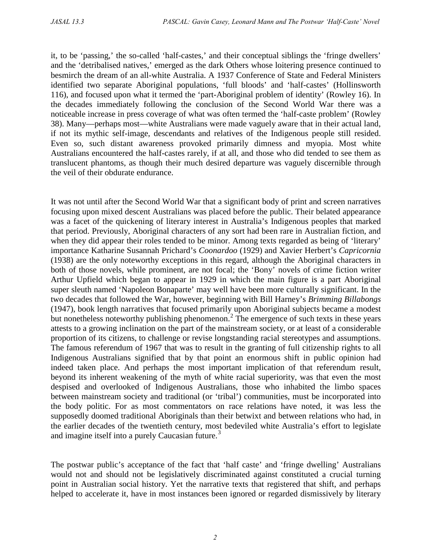it, to be 'passing,' the so-called 'half-castes,' and their conceptual siblings the 'fringe dwellers' and the 'detribalised natives,' emerged as the dark Others whose loitering presence continued to besmirch the dream of an all-white Australia. A 1937 Conference of State and Federal Ministers identified two separate Aboriginal populations, 'full bloods' and 'half-castes' (Hollinsworth 116), and focused upon what it termed the 'part-Aboriginal problem of identity' (Rowley 16). In the decades immediately following the conclusion of the Second World War there was a noticeable increase in press coverage of what was often termed the 'half-caste problem' (Rowley 38). Many—perhaps most—white Australians were made vaguely aware that in their actual land, if not its mythic self-image, descendants and relatives of the Indigenous people still resided. Even so, such distant awareness provoked primarily dimness and myopia. Most white Australians encountered the half-castes rarely, if at all, and those who did tended to see them as translucent phantoms, as though their much desired departure was vaguely discernible through the veil of their obdurate endurance.

It was not until after the Second World War that a significant body of print and screen narratives focusing upon mixed descent Australians was placed before the public. Their belated appearance was a facet of the quickening of literary interest in Australia's Indigenous peoples that marked that period. Previously, Aboriginal characters of any sort had been rare in Australian fiction, and when they did appear their roles tended to be minor. Among texts regarded as being of 'literary' importance Katharine Susannah Prichard's *Coonardoo* (1929) and Xavier Herbert's *Capricornia* (1938) are the only noteworthy exceptions in this regard, although the Aboriginal characters in both of those novels, while prominent, are not focal; the 'Bony' novels of crime fiction writer Arthur Upfield which began to appear in 1929 in which the main figure is a part Aboriginal super sleuth named 'Napoleon Bonaparte' may well have been more culturally significant. In the two decades that followed the War, however, beginning with Bill Harney's *Brimming Billabongs* (1947), book length narratives that focused primarily upon Aboriginal subjects became a modest but nonetheless noteworthy publishing phenomenon.<sup>[2](#page-15-1)</sup> The emergence of such texts in these years attests to a growing inclination on the part of the mainstream society, or at least of a considerable proportion of its citizens, to challenge or revise longstanding racial stereotypes and assumptions. The famous referendum of 1967 that was to result in the granting of full citizenship rights to all Indigenous Australians signified that by that point an enormous shift in public opinion had indeed taken place. And perhaps the most important implication of that referendum result, beyond its inherent weakening of the myth of white racial superiority, was that even the most despised and overlooked of Indigenous Australians, those who inhabited the limbo spaces between mainstream society and traditional (or 'tribal') communities, must be incorporated into the body politic. For as most commentators on race relations have noted, it was less the supposedly doomed traditional Aboriginals than their betwixt and between relations who had, in the earlier decades of the twentieth century, most bedeviled white Australia's effort to legislate and imagine itself into a purely Caucasian future.<sup>[3](#page-15-2)</sup>

The postwar public's acceptance of the fact that 'half caste' and 'fringe dwelling' Australians would not and should not be legislatively discriminated against constituted a crucial turning point in Australian social history. Yet the narrative texts that registered that shift, and perhaps helped to accelerate it, have in most instances been ignored or regarded dismissively by literary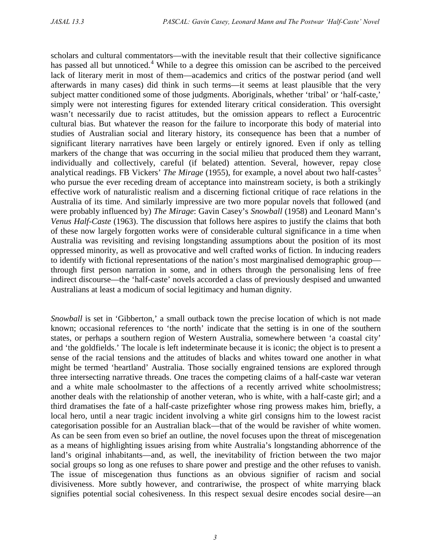scholars and cultural commentators—with the inevitable result that their collective significance has passed all but unnoticed.<sup>[4](#page-15-3)</sup> While to a degree this omission can be ascribed to the perceived lack of literary merit in most of them—academics and critics of the postwar period (and well afterwards in many cases) did think in such terms—it seems at least plausible that the very subject matter conditioned some of those judgments. Aboriginals, whether 'tribal' or 'half-caste,' simply were not interesting figures for extended literary critical consideration. This oversight wasn't necessarily due to racist attitudes, but the omission appears to reflect a Eurocentric cultural bias. But whatever the reason for the failure to incorporate this body of material into studies of Australian social and literary history, its consequence has been that a number of significant literary narratives have been largely or entirely ignored. Even if only as telling markers of the change that was occurring in the social milieu that produced them they warrant, individually and collectively, careful (if belated) attention. Several, however, repay close analytical readings. FB Vickers' *The Mirage* (19[5](#page-15-4)5), for example, a novel about two half-castes<sup>5</sup> who pursue the ever receding dream of acceptance into mainstream society, is both a strikingly effective work of naturalistic realism and a discerning fictional critique of race relations in the Australia of its time. And similarly impressive are two more popular novels that followed (and were probably influenced by) *The Mirage*: Gavin Casey's *Snowball* (1958) and Leonard Mann's *Venus Half-Caste* (1963). The discussion that follows here aspires to justify the claims that both of these now largely forgotten works were of considerable cultural significance in a time when Australia was revisiting and revising longstanding assumptions about the position of its most oppressed minority, as well as provocative and well crafted works of fiction. In inducing readers to identify with fictional representations of the nation's most marginalised demographic group through first person narration in some, and in others through the personalising lens of free indirect discourse—the 'half-caste' novels accorded a class of previously despised and unwanted Australians at least a modicum of social legitimacy and human dignity.

*Snowball* is set in 'Gibberton,' a small outback town the precise location of which is not made known; occasional references to 'the north' indicate that the setting is in one of the southern states, or perhaps a southern region of Western Australia, somewhere between 'a coastal city' and 'the goldfields.' The locale is left indeterminate because it is iconic; the object is to present a sense of the racial tensions and the attitudes of blacks and whites toward one another in what might be termed 'heartland' Australia. Those socially engrained tensions are explored through three intersecting narrative threads. One traces the competing claims of a half-caste war veteran and a white male schoolmaster to the affections of a recently arrived white schoolmistress; another deals with the relationship of another veteran, who is white, with a half-caste girl; and a third dramatises the fate of a half-caste prizefighter whose ring prowess makes him, briefly, a local hero, until a near tragic incident involving a white girl consigns him to the lowest racist categorisation possible for an Australian black—that of the would be ravisher of white women. As can be seen from even so brief an outline, the novel focuses upon the threat of miscegenation as a means of highlighting issues arising from white Australia's longstanding abhorrence of the land's original inhabitants—and, as well, the inevitability of friction between the two major social groups so long as one refuses to share power and prestige and the other refuses to vanish. The issue of miscegenation thus functions as an obvious signifier of racism and social divisiveness. More subtly however, and contrariwise, the prospect of white marrying black signifies potential social cohesiveness. In this respect sexual desire encodes social desire—an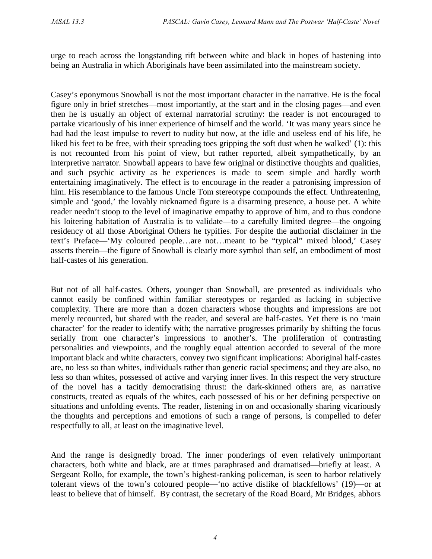urge to reach across the longstanding rift between white and black in hopes of hastening into being an Australia in which Aboriginals have been assimilated into the mainstream society.

Casey's eponymous Snowball is not the most important character in the narrative. He is the focal figure only in brief stretches—most importantly, at the start and in the closing pages—and even then he is usually an object of external narratorial scrutiny: the reader is not encouraged to partake vicariously of his inner experience of himself and the world. 'It was many years since he had had the least impulse to revert to nudity but now, at the idle and useless end of his life, he liked his feet to be free, with their spreading toes gripping the soft dust when he walked' (1): this is not recounted from his point of view, but rather reported, albeit sympathetically, by an interpretive narrator. Snowball appears to have few original or distinctive thoughts and qualities, and such psychic activity as he experiences is made to seem simple and hardly worth entertaining imaginatively. The effect is to encourage in the reader a patronising impression of him. His resemblance to the famous Uncle Tom stereotype compounds the effect. Unthreatening, simple and 'good,' the lovably nicknamed figure is a disarming presence, a house pet. A white reader needn't stoop to the level of imaginative empathy to approve of him, and to thus condone his loitering habitation of Australia is to validate—to a carefully limited degree—the ongoing residency of all those Aboriginal Others he typifies. For despite the authorial disclaimer in the text's Preface—'My coloured people…are not…meant to be "typical" mixed blood,' Casey asserts therein—the figure of Snowball is clearly more symbol than self, an embodiment of most half-castes of his generation.

But not of all half-castes. Others, younger than Snowball, are presented as individuals who cannot easily be confined within familiar stereotypes or regarded as lacking in subjective complexity. There are more than a dozen characters whose thoughts and impressions are not merely recounted, but shared with the reader, and several are half-castes. Yet there is no 'main character' for the reader to identify with; the narrative progresses primarily by shifting the focus serially from one character's impressions to another's. The proliferation of contrasting personalities and viewpoints, and the roughly equal attention accorded to several of the more important black and white characters, convey two significant implications: Aboriginal half-castes are, no less so than whites, individuals rather than generic racial specimens; and they are also, no less so than whites, possessed of active and varying inner lives. In this respect the very structure of the novel has a tacitly democratising thrust: the dark-skinned others are, as narrative constructs, treated as equals of the whites, each possessed of his or her defining perspective on situations and unfolding events. The reader, listening in on and occasionally sharing vicariously the thoughts and perceptions and emotions of such a range of persons, is compelled to defer respectfully to all, at least on the imaginative level.

And the range is designedly broad. The inner ponderings of even relatively unimportant characters, both white and black, are at times paraphrased and dramatised—briefly at least. A Sergeant Rollo, for example, the town's highest-ranking policeman, is seen to harbor relatively tolerant views of the town's coloured people—'no active dislike of blackfellows' (19)—or at least to believe that of himself. By contrast, the secretary of the Road Board, Mr Bridges, abhors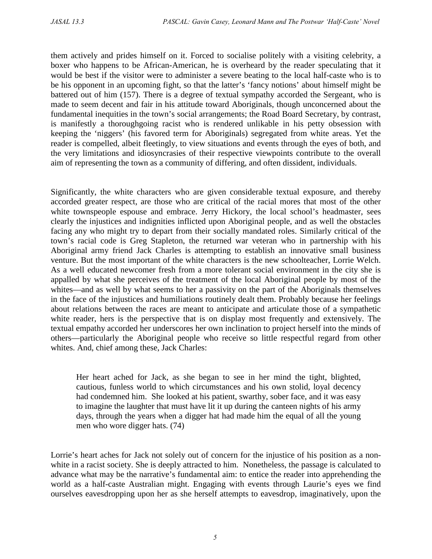them actively and prides himself on it. Forced to socialise politely with a visiting celebrity, a boxer who happens to be African-American, he is overheard by the reader speculating that it would be best if the visitor were to administer a severe beating to the local half-caste who is to be his opponent in an upcoming fight, so that the latter's 'fancy notions' about himself might be battered out of him (157). There is a degree of textual sympathy accorded the Sergeant, who is made to seem decent and fair in his attitude toward Aboriginals, though unconcerned about the fundamental inequities in the town's social arrangements; the Road Board Secretary, by contrast, is manifestly a thoroughgoing racist who is rendered unlikable in his petty obsession with keeping the 'niggers' (his favored term for Aboriginals) segregated from white areas. Yet the reader is compelled, albeit fleetingly, to view situations and events through the eyes of both, and the very limitations and idiosyncrasies of their respective viewpoints contribute to the overall aim of representing the town as a community of differing, and often dissident, individuals.

Significantly, the white characters who are given considerable textual exposure, and thereby accorded greater respect, are those who are critical of the racial mores that most of the other white townspeople espouse and embrace. Jerry Hickory, the local school's headmaster, sees clearly the injustices and indignities inflicted upon Aboriginal people, and as well the obstacles facing any who might try to depart from their socially mandated roles. Similarly critical of the town's racial code is Greg Stapleton, the returned war veteran who in partnership with his Aboriginal army friend Jack Charles is attempting to establish an innovative small business venture. But the most important of the white characters is the new schoolteacher, Lorrie Welch. As a well educated newcomer fresh from a more tolerant social environment in the city she is appalled by what she perceives of the treatment of the local Aboriginal people by most of the whites—and as well by what seems to her a passivity on the part of the Aboriginals themselves in the face of the injustices and humiliations routinely dealt them. Probably because her feelings about relations between the races are meant to anticipate and articulate those of a sympathetic white reader, hers is the perspective that is on display most frequently and extensively. The textual empathy accorded her underscores her own inclination to project herself into the minds of others—particularly the Aboriginal people who receive so little respectful regard from other whites. And, chief among these, Jack Charles:

Her heart ached for Jack, as she began to see in her mind the tight, blighted, cautious, funless world to which circumstances and his own stolid, loyal decency had condemned him. She looked at his patient, swarthy, sober face, and it was easy to imagine the laughter that must have lit it up during the canteen nights of his army days, through the years when a digger hat had made him the equal of all the young men who wore digger hats. (74)

Lorrie's heart aches for Jack not solely out of concern for the injustice of his position as a nonwhite in a racist society. She is deeply attracted to him. Nonetheless, the passage is calculated to advance what may be the narrative's fundamental aim: to entice the reader into apprehending the world as a half-caste Australian might. Engaging with events through Laurie's eyes we find ourselves eavesdropping upon her as she herself attempts to eavesdrop, imaginatively, upon the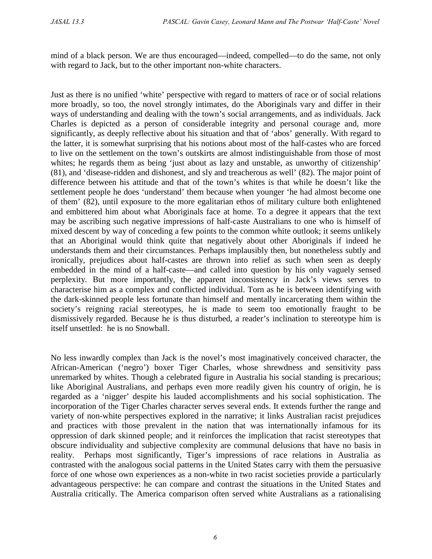mind of a black person. We are thus encouraged—indeed, compelled—to do the same, not only with regard to Jack, but to the other important non-white characters.

Just as there is no unified 'white' perspective with regard to matters of race or of social relations more broadly, so too, the novel strongly intimates, do the Aboriginals vary and differ in their ways of understanding and dealing with the town's social arrangements, and as individuals. Jack Charles is depicted as a person of considerable integrity and personal courage and, more significantly, as deeply reflective about his situation and that of 'abos' generally. With regard to the latter, it is somewhat surprising that his notions about most of the half-castes who are forced to live on the settlement on the town's outskirts are almost indistinguishable from those of most whites; he regards them as being 'just about as lazy and unstable, as unworthy of citizenship' (81), and 'disease-ridden and dishonest, and sly and treacherous as well' (82). The major point of difference between his attitude and that of the town's whites is that while he doesn't like the settlement people he does 'understand' them because when younger 'he had almost become one of them' (82), until exposure to the more egalitarian ethos of military culture both enlightened and embittered him about what Aboriginals face at home. To a degree it appears that the text may be ascribing such negative impressions of half-caste Australians to one who is himself of mixed descent by way of conceding a few points to the common white outlook; it seems unlikely that an Aboriginal would think quite that negatively about other Aboriginals if indeed he understands them and their circumstances. Perhaps implausibly then, but nonetheless subtly and ironically, prejudices about half-castes are thrown into relief as such when seen as deeply embedded in the mind of a half-caste—and called into question by his only vaguely sensed perplexity. But more importantly, the apparent inconsistency in Jack's views serves to characterise him as a complex and conflicted individual. Torn as he is between identifying with the dark-skinned people less fortunate than himself and mentally incarcerating them within the society's reigning racial stereotypes, he is made to seem too emotionally fraught to be dismissively regarded. Because he is thus disturbed, a reader's inclination to stereotype him is itself unsettled: he is no Snowball.

No less inwardly complex than Jack is the novel's most imaginatively conceived character, the African-American ('negro') boxer Tiger Charles, whose shrewdness and sensitivity pass unremarked by whites. Though a celebrated figure in Australia his social standing is precarious; like Aboriginal Australians, and perhaps even more readily given his country of origin, he is regarded as a 'nigger' despite his lauded accomplishments and his social sophistication. The incorporation of the Tiger Charles character serves several ends. It extends further the range and variety of non-white perspectives explored in the narrative; it links Australian racist prejudices and practices with those prevalent in the nation that was internationally infamous for its oppression of dark skinned people; and it reinforces the implication that racist stereotypes that obscure individuality and subjective complexity are communal delusions that have no basis in reality. Perhaps most significantly, Tiger's impressions of race relations in Australia as contrasted with the analogous social patterns in the United States carry with them the persuasive force of one whose own experiences as a non-white in two racist societies provide a particularly advantageous perspective: he can compare and contrast the situations in the United States and Australia critically. The America comparison often served white Australians as a rationalising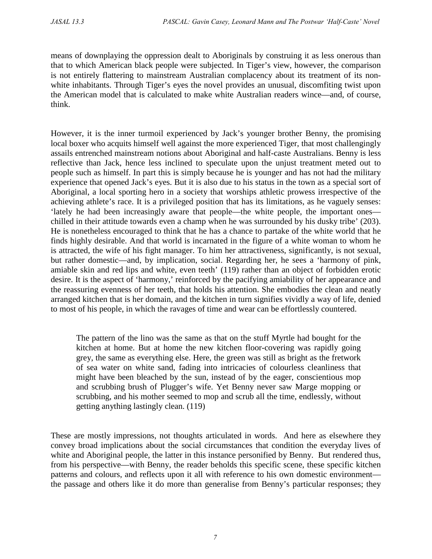means of downplaying the oppression dealt to Aboriginals by construing it as less onerous than that to which American black people were subjected. In Tiger's view, however, the comparison is not entirely flattering to mainstream Australian complacency about its treatment of its nonwhite inhabitants. Through Tiger's eyes the novel provides an unusual, discomfiting twist upon the American model that is calculated to make white Australian readers wince—and, of course, think.

However, it is the inner turmoil experienced by Jack's younger brother Benny, the promising local boxer who acquits himself well against the more experienced Tiger, that most challengingly assails entrenched mainstream notions about Aboriginal and half-caste Australians. Benny is less reflective than Jack, hence less inclined to speculate upon the unjust treatment meted out to people such as himself. In part this is simply because he is younger and has not had the military experience that opened Jack's eyes. But it is also due to his status in the town as a special sort of Aboriginal, a local sporting hero in a society that worships athletic prowess irrespective of the achieving athlete's race. It is a privileged position that has its limitations, as he vaguely senses: 'lately he had been increasingly aware that people—the white people, the important ones chilled in their attitude towards even a champ when he was surrounded by his dusky tribe' (203). He is nonetheless encouraged to think that he has a chance to partake of the white world that he finds highly desirable. And that world is incarnated in the figure of a white woman to whom he is attracted, the wife of his fight manager. To him her attractiveness, significantly, is not sexual, but rather domestic—and, by implication, social. Regarding her, he sees a 'harmony of pink, amiable skin and red lips and white, even teeth' (119) rather than an object of forbidden erotic desire. It is the aspect of 'harmony,' reinforced by the pacifying amiability of her appearance and the reassuring evenness of her teeth, that holds his attention. She embodies the clean and neatly arranged kitchen that is her domain, and the kitchen in turn signifies vividly a way of life, denied to most of his people, in which the ravages of time and wear can be effortlessly countered.

The pattern of the lino was the same as that on the stuff Myrtle had bought for the kitchen at home. But at home the new kitchen floor-covering was rapidly going grey, the same as everything else. Here, the green was still as bright as the fretwork of sea water on white sand, fading into intricacies of colourless cleanliness that might have been bleached by the sun, instead of by the eager, conscientious mop and scrubbing brush of Plugger's wife. Yet Benny never saw Marge mopping or scrubbing, and his mother seemed to mop and scrub all the time, endlessly, without getting anything lastingly clean. (119)

These are mostly impressions, not thoughts articulated in words. And here as elsewhere they convey broad implications about the social circumstances that condition the everyday lives of white and Aboriginal people, the latter in this instance personified by Benny. But rendered thus, from his perspective—with Benny, the reader beholds this specific scene, these specific kitchen patterns and colours, and reflects upon it all with reference to his own domestic environment the passage and others like it do more than generalise from Benny's particular responses; they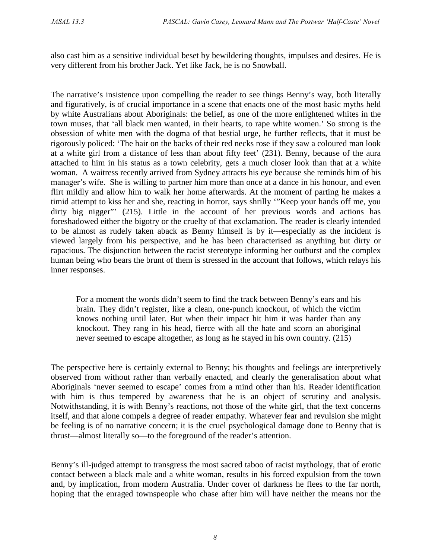also cast him as a sensitive individual beset by bewildering thoughts, impulses and desires. He is very different from his brother Jack. Yet like Jack, he is no Snowball.

The narrative's insistence upon compelling the reader to see things Benny's way, both literally and figuratively, is of crucial importance in a scene that enacts one of the most basic myths held by white Australians about Aboriginals: the belief, as one of the more enlightened whites in the town muses, that 'all black men wanted, in their hearts, to rape white women.' So strong is the obsession of white men with the dogma of that bestial urge, he further reflects, that it must be rigorously policed: 'The hair on the backs of their red necks rose if they saw a coloured man look at a white girl from a distance of less than about fifty feet' (231). Benny, because of the aura attached to him in his status as a town celebrity, gets a much closer look than that at a white woman. A waitress recently arrived from Sydney attracts his eye because she reminds him of his manager's wife. She is willing to partner him more than once at a dance in his honour, and even flirt mildly and allow him to walk her home afterwards. At the moment of parting he makes a timid attempt to kiss her and she, reacting in horror, says shrilly '"Keep your hands off me, you dirty big nigger" (215). Little in the account of her previous words and actions has foreshadowed either the bigotry or the cruelty of that exclamation. The reader is clearly intended to be almost as rudely taken aback as Benny himself is by it—especially as the incident is viewed largely from his perspective, and he has been characterised as anything but dirty or rapacious. The disjunction between the racist stereotype informing her outburst and the complex human being who bears the brunt of them is stressed in the account that follows, which relays his inner responses.

For a moment the words didn't seem to find the track between Benny's ears and his brain. They didn't register, like a clean, one-punch knockout, of which the victim knows nothing until later. But when their impact hit him it was harder than any knockout. They rang in his head, fierce with all the hate and scorn an aboriginal never seemed to escape altogether, as long as he stayed in his own country. (215)

The perspective here is certainly external to Benny; his thoughts and feelings are interpretively observed from without rather than verbally enacted, and clearly the generalisation about what Aboriginals 'never seemed to escape' comes from a mind other than his. Reader identification with him is thus tempered by awareness that he is an object of scrutiny and analysis. Notwithstanding, it is with Benny's reactions, not those of the white girl, that the text concerns itself, and that alone compels a degree of reader empathy. Whatever fear and revulsion she might be feeling is of no narrative concern; it is the cruel psychological damage done to Benny that is thrust—almost literally so—to the foreground of the reader's attention.

Benny's ill-judged attempt to transgress the most sacred taboo of racist mythology, that of erotic contact between a black male and a white woman, results in his forced expulsion from the town and, by implication, from modern Australia. Under cover of darkness he flees to the far north, hoping that the enraged townspeople who chase after him will have neither the means nor the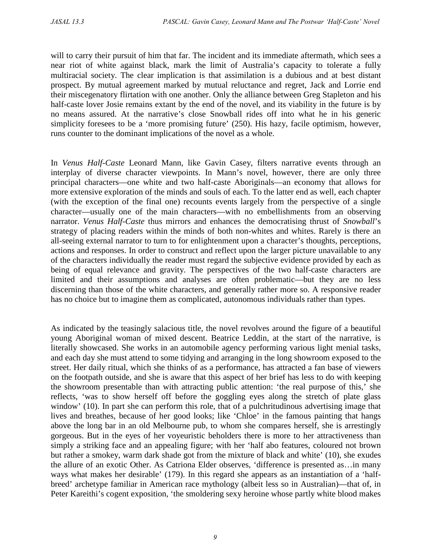will to carry their pursuit of him that far. The incident and its immediate aftermath, which sees a near riot of white against black, mark the limit of Australia's capacity to tolerate a fully multiracial society. The clear implication is that assimilation is a dubious and at best distant prospect. By mutual agreement marked by mutual reluctance and regret, Jack and Lorrie end their miscegenatory flirtation with one another. Only the alliance between Greg Stapleton and his half-caste lover Josie remains extant by the end of the novel, and its viability in the future is by no means assured. At the narrative's close Snowball rides off into what he in his generic simplicity foresees to be a 'more promising future' (250). His hazy, facile optimism, however, runs counter to the dominant implications of the novel as a whole.

In *Venus Half-Caste* Leonard Mann, like Gavin Casey, filters narrative events through an interplay of diverse character viewpoints. In Mann's novel, however, there are only three principal characters—one white and two half-caste Aboriginals—an economy that allows for more extensive exploration of the minds and souls of each. To the latter end as well, each chapter (with the exception of the final one) recounts events largely from the perspective of a single character—usually one of the main characters—with no embellishments from an observing narrator. *Venus Half-Caste* thus mirrors and enhances the democratising thrust of *Snowball*'s strategy of placing readers within the minds of both non-whites and whites. Rarely is there an all-seeing external narrator to turn to for enlightenment upon a character's thoughts, perceptions, actions and responses. In order to construct and reflect upon the larger picture unavailable to any of the characters individually the reader must regard the subjective evidence provided by each as being of equal relevance and gravity. The perspectives of the two half-caste characters are limited and their assumptions and analyses are often problematic—but they are no less discerning than those of the white characters, and generally rather more so. A responsive reader has no choice but to imagine them as complicated, autonomous individuals rather than types.

As indicated by the teasingly salacious title, the novel revolves around the figure of a beautiful young Aboriginal woman of mixed descent. Beatrice Leddin, at the start of the narrative, is literally showcased. She works in an automobile agency performing various light menial tasks, and each day she must attend to some tidying and arranging in the long showroom exposed to the street. Her daily ritual, which she thinks of as a performance, has attracted a fan base of viewers on the footpath outside, and she is aware that this aspect of her brief has less to do with keeping the showroom presentable than with attracting public attention: 'the real purpose of this,' she reflects, 'was to show herself off before the goggling eyes along the stretch of plate glass window' (10). In part she can perform this role, that of a pulchritudinous advertising image that lives and breathes, because of her good looks; like 'Chloe' in the famous painting that hangs above the long bar in an old Melbourne pub, to whom she compares herself, she is arrestingly gorgeous. But in the eyes of her voyeuristic beholders there is more to her attractiveness than simply a striking face and an appealing figure; with her 'half abo features, coloured not brown but rather a smokey, warm dark shade got from the mixture of black and white' (10), she exudes the allure of an exotic Other. As Catriona Elder observes, 'difference is presented as…in many ways what makes her desirable' (179). In this regard she appears as an instantiation of a 'halfbreed' archetype familiar in American race mythology (albeit less so in Australian)—that of, in Peter Kareithi's cogent exposition, 'the smoldering sexy heroine whose partly white blood makes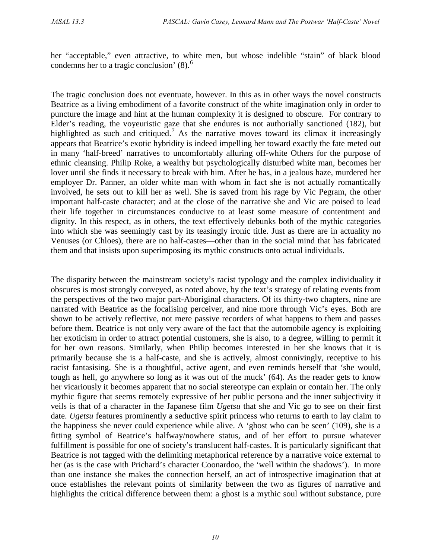her "acceptable," even attractive, to white men, but whose indelible "stain" of black blood condemns her to a tragic conclusion'  $(8)$ .<sup>[6](#page-15-5)</sup>

The tragic conclusion does not eventuate, however. In this as in other ways the novel constructs Beatrice as a living embodiment of a favorite construct of the white imagination only in order to puncture the image and hint at the human complexity it is designed to obscure. For contrary to Elder's reading, the voyeuristic gaze that she endures is not authorially sanctioned (182), but highlighted as such and critiqued.<sup>[7](#page-15-6)</sup> As the narrative moves toward its climax it increasingly appears that Beatrice's exotic hybridity is indeed impelling her toward exactly the fate meted out in many 'half-breed' narratives to uncomfortably alluring off-white Others for the purpose of ethnic cleansing. Philip Roke, a wealthy but psychologically disturbed white man, becomes her lover until she finds it necessary to break with him. After he has, in a jealous haze, murdered her employer Dr. Panner, an older white man with whom in fact she is not actually romantically involved, he sets out to kill her as well. She is saved from his rage by Vic Pegram, the other important half-caste character; and at the close of the narrative she and Vic are poised to lead their life together in circumstances conducive to at least some measure of contentment and dignity. In this respect, as in others, the text effectively debunks both of the mythic categories into which she was seemingly cast by its teasingly ironic title. Just as there are in actuality no Venuses (or Chloes), there are no half-castes—other than in the social mind that has fabricated them and that insists upon superimposing its mythic constructs onto actual individuals.

The disparity between the mainstream society's racist typology and the complex individuality it obscures is most strongly conveyed, as noted above, by the text's strategy of relating events from the perspectives of the two major part-Aboriginal characters. Of its thirty-two chapters, nine are narrated with Beatrice as the focalising perceiver, and nine more through Vic's eyes. Both are shown to be actively reflective, not mere passive recorders of what happens to them and passes before them. Beatrice is not only very aware of the fact that the automobile agency is exploiting her exoticism in order to attract potential customers, she is also, to a degree, willing to permit it for her own reasons. Similarly, when Philip becomes interested in her she knows that it is primarily because she is a half-caste, and she is actively, almost connivingly, receptive to his racist fantasising. She is a thoughtful, active agent, and even reminds herself that 'she would, tough as hell, go anywhere so long as it was out of the muck' (64). As the reader gets to know her vicariously it becomes apparent that no social stereotype can explain or contain her. The only mythic figure that seems remotely expressive of her public persona and the inner subjectivity it veils is that of a character in the Japanese film *Ugetsu* that she and Vic go to see on their first date. *Ugetsu* features prominently a seductive spirit princess who returns to earth to lay claim to the happiness she never could experience while alive. A 'ghost who can be seen' (109), she is a fitting symbol of Beatrice's halfway/nowhere status, and of her effort to pursue whatever fulfillment is possible for one of society's translucent half-castes. It is particularly significant that Beatrice is not tagged with the delimiting metaphorical reference by a narrative voice external to her (as is the case with Prichard's character Coonardoo, the 'well within the shadows'). In more than one instance she makes the connection herself, an act of introspective imagination that at once establishes the relevant points of similarity between the two as figures of narrative and highlights the critical difference between them: a ghost is a mythic soul without substance, pure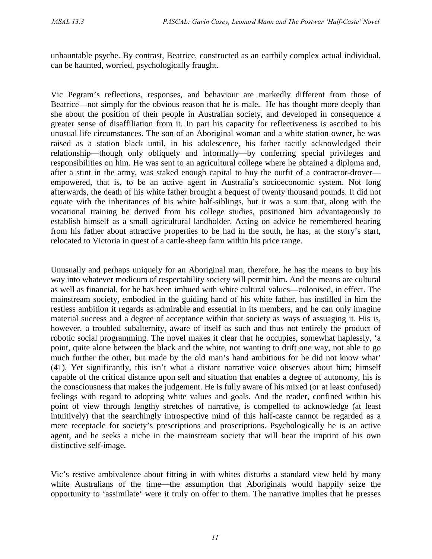unhauntable psyche. By contrast, Beatrice, constructed as an earthily complex actual individual, can be haunted, worried, psychologically fraught.

Vic Pegram's reflections, responses, and behaviour are markedly different from those of Beatrice—not simply for the obvious reason that he is male. He has thought more deeply than she about the position of their people in Australian society, and developed in consequence a greater sense of disaffiliation from it. In part his capacity for reflectiveness is ascribed to his unusual life circumstances. The son of an Aboriginal woman and a white station owner, he was raised as a station black until, in his adolescence, his father tacitly acknowledged their relationship—though only obliquely and informally—by conferring special privileges and responsibilities on him. He was sent to an agricultural college where he obtained a diploma and, after a stint in the army, was staked enough capital to buy the outfit of a contractor-drover empowered, that is, to be an active agent in Australia's socioeconomic system. Not long afterwards, the death of his white father brought a bequest of twenty thousand pounds. It did not equate with the inheritances of his white half-siblings, but it was a sum that, along with the vocational training he derived from his college studies, positioned him advantageously to establish himself as a small agricultural landholder. Acting on advice he remembered hearing from his father about attractive properties to be had in the south, he has, at the story's start, relocated to Victoria in quest of a cattle-sheep farm within his price range.

Unusually and perhaps uniquely for an Aboriginal man, therefore, he has the means to buy his way into whatever modicum of respectability society will permit him. And the means are cultural as well as financial, for he has been imbued with white cultural values—colonised, in effect. The mainstream society, embodied in the guiding hand of his white father, has instilled in him the restless ambition it regards as admirable and essential in its members, and he can only imagine material success and a degree of acceptance within that society as ways of assuaging it. His is, however, a troubled subalternity, aware of itself as such and thus not entirely the product of robotic social programming. The novel makes it clear that he occupies, somewhat haplessly, 'a point, quite alone between the black and the white, not wanting to drift one way, not able to go much further the other, but made by the old man's hand ambitious for he did not know what' (41). Yet significantly, this isn't what a distant narrative voice observes about him; himself capable of the critical distance upon self and situation that enables a degree of autonomy, his is the consciousness that makes the judgement. He is fully aware of his mixed (or at least confused) feelings with regard to adopting white values and goals. And the reader, confined within his point of view through lengthy stretches of narrative, is compelled to acknowledge (at least intuitively) that the searchingly introspective mind of this half-caste cannot be regarded as a mere receptacle for society's prescriptions and proscriptions. Psychologically he is an active agent, and he seeks a niche in the mainstream society that will bear the imprint of his own distinctive self-image.

Vic's restive ambivalence about fitting in with whites disturbs a standard view held by many white Australians of the time—the assumption that Aboriginals would happily seize the opportunity to 'assimilate' were it truly on offer to them. The narrative implies that he presses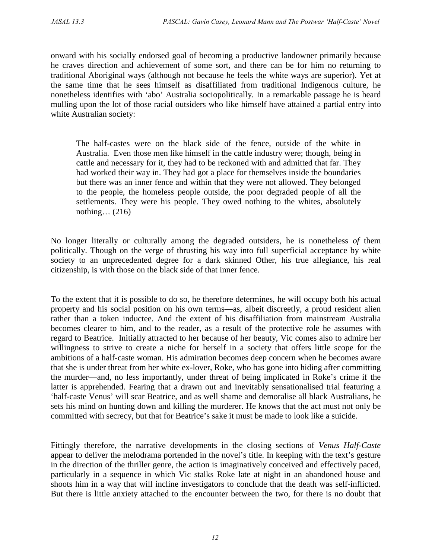onward with his socially endorsed goal of becoming a productive landowner primarily because he craves direction and achievement of some sort, and there can be for him no returning to traditional Aboriginal ways (although not because he feels the white ways are superior). Yet at the same time that he sees himself as disaffiliated from traditional Indigenous culture, he nonetheless identifies with 'abo' Australia sociopolitically. In a remarkable passage he is heard mulling upon the lot of those racial outsiders who like himself have attained a partial entry into white Australian society:

The half-castes were on the black side of the fence, outside of the white in Australia. Even those men like himself in the cattle industry were; though, being in cattle and necessary for it, they had to be reckoned with and admitted that far. They had worked their way in. They had got a place for themselves inside the boundaries but there was an inner fence and within that they were not allowed. They belonged to the people, the homeless people outside, the poor degraded people of all the settlements. They were his people. They owed nothing to the whites, absolutely nothing… (216)

No longer literally or culturally among the degraded outsiders, he is nonetheless *of* them politically. Though on the verge of thrusting his way into full superficial acceptance by white society to an unprecedented degree for a dark skinned Other, his true allegiance, his real citizenship, is with those on the black side of that inner fence.

To the extent that it is possible to do so, he therefore determines, he will occupy both his actual property and his social position on his own terms—as, albeit discreetly, a proud resident alien rather than a token inductee. And the extent of his disaffiliation from mainstream Australia becomes clearer to him, and to the reader, as a result of the protective role he assumes with regard to Beatrice. Initially attracted to her because of her beauty, Vic comes also to admire her willingness to strive to create a niche for herself in a society that offers little scope for the ambitions of a half-caste woman. His admiration becomes deep concern when he becomes aware that she is under threat from her white ex-lover, Roke, who has gone into hiding after committing the murder—and, no less importantly, under threat of being implicated in Roke's crime if the latter is apprehended. Fearing that a drawn out and inevitably sensationalised trial featuring a 'half-caste Venus' will scar Beatrice, and as well shame and demoralise all black Australians, he sets his mind on hunting down and killing the murderer. He knows that the act must not only be committed with secrecy, but that for Beatrice's sake it must be made to look like a suicide.

Fittingly therefore, the narrative developments in the closing sections of *Venus Half-Caste* appear to deliver the melodrama portended in the novel's title. In keeping with the text's gesture in the direction of the thriller genre, the action is imaginatively conceived and effectively paced, particularly in a sequence in which Vic stalks Roke late at night in an abandoned house and shoots him in a way that will incline investigators to conclude that the death was self-inflicted. But there is little anxiety attached to the encounter between the two, for there is no doubt that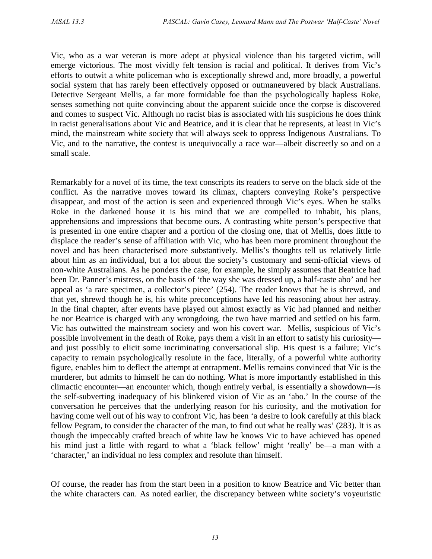Vic, who as a war veteran is more adept at physical violence than his targeted victim, will emerge victorious. The most vividly felt tension is racial and political. It derives from Vic's efforts to outwit a white policeman who is exceptionally shrewd and, more broadly, a powerful social system that has rarely been effectively opposed or outmaneuvered by black Australians. Detective Sergeant Mellis, a far more formidable foe than the psychologically hapless Roke, senses something not quite convincing about the apparent suicide once the corpse is discovered and comes to suspect Vic. Although no racist bias is associated with his suspicions he does think in racist generalisations about Vic and Beatrice, and it is clear that he represents, at least in Vic's mind, the mainstream white society that will always seek to oppress Indigenous Australians. To Vic, and to the narrative, the contest is unequivocally a race war—albeit discreetly so and on a small scale.

Remarkably for a novel of its time, the text conscripts its readers to serve on the black side of the conflict. As the narrative moves toward its climax, chapters conveying Roke's perspective disappear, and most of the action is seen and experienced through Vic's eyes. When he stalks Roke in the darkened house it is his mind that we are compelled to inhabit, his plans, apprehensions and impressions that become ours. A contrasting white person's perspective that is presented in one entire chapter and a portion of the closing one, that of Mellis, does little to displace the reader's sense of affiliation with Vic, who has been more prominent throughout the novel and has been characterised more substantively. Mellis's thoughts tell us relatively little about him as an individual, but a lot about the society's customary and semi-official views of non-white Australians. As he ponders the case, for example, he simply assumes that Beatrice had been Dr. Panner's mistress, on the basis of 'the way she was dressed up, a half-caste abo' and her appeal as 'a rare specimen, a collector's piece' (254). The reader knows that he is shrewd, and that yet, shrewd though he is, his white preconceptions have led his reasoning about her astray. In the final chapter, after events have played out almost exactly as Vic had planned and neither he nor Beatrice is charged with any wrongdoing, the two have married and settled on his farm. Vic has outwitted the mainstream society and won his covert war. Mellis, suspicious of Vic's possible involvement in the death of Roke, pays them a visit in an effort to satisfy his curiosity and just possibly to elicit some incriminating conversational slip. His quest is a failure; Vic's capacity to remain psychologically resolute in the face, literally, of a powerful white authority figure, enables him to deflect the attempt at entrapment. Mellis remains convinced that Vic is the murderer, but admits to himself he can do nothing. What is more importantly established in this climactic encounter—an encounter which, though entirely verbal, is essentially a showdown—is the self-subverting inadequacy of his blinkered vision of Vic as an 'abo.' In the course of the conversation he perceives that the underlying reason for his curiosity, and the motivation for having come well out of his way to confront Vic, has been 'a desire to look carefully at this black fellow Pegram, to consider the character of the man, to find out what he really was' (283). It is as though the impeccably crafted breach of white law he knows Vic to have achieved has opened his mind just a little with regard to what a 'black fellow' might 'really' be—a man with a 'character,' an individual no less complex and resolute than himself.

Of course, the reader has from the start been in a position to know Beatrice and Vic better than the white characters can. As noted earlier, the discrepancy between white society's voyeuristic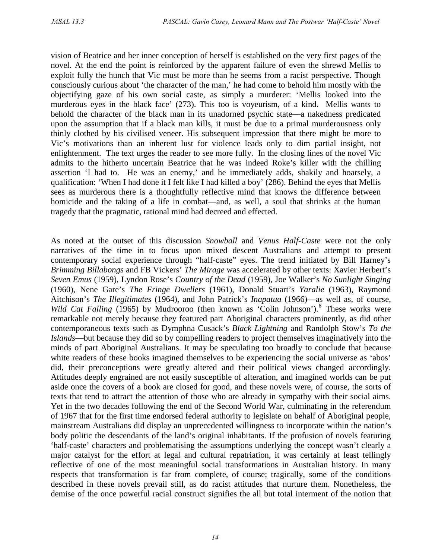vision of Beatrice and her inner conception of herself is established on the very first pages of the novel. At the end the point is reinforced by the apparent failure of even the shrewd Mellis to exploit fully the hunch that Vic must be more than he seems from a racist perspective. Though consciously curious about 'the character of the man,' he had come to behold him mostly with the objectifying gaze of his own social caste, as simply a murderer: 'Mellis looked into the murderous eyes in the black face' (273). This too is voyeurism, of a kind. Mellis wants to behold the character of the black man in its unadorned psychic state—a nakedness predicated upon the assumption that if a black man kills, it must be due to a primal murderousness only thinly clothed by his civilised veneer. His subsequent impression that there might be more to Vic's motivations than an inherent lust for violence leads only to dim partial insight, not enlightenment. The text urges the reader to see more fully. In the closing lines of the novel Vic admits to the hitherto uncertain Beatrice that he was indeed Roke's killer with the chilling assertion 'I had to. He was an enemy,' and he immediately adds, shakily and hoarsely, a qualification: 'When I had done it I felt like I had killed a boy' (286). Behind the eyes that Mellis sees as murderous there is a thoughtfully reflective mind that knows the difference between homicide and the taking of a life in combat—and, as well, a soul that shrinks at the human tragedy that the pragmatic, rational mind had decreed and effected.

As noted at the outset of this discussion *Snowball* and *Venus Half-Caste* were not the only narratives of the time in to focus upon mixed descent Australians and attempt to present contemporary social experience through "half-caste" eyes. The trend initiated by Bill Harney's *Brimming Billabongs* and FB Vickers' *The Mirage* was accelerated by other texts: Xavier Herbert's *Seven Emus* (1959), Lyndon Rose's *Country of the Dead* (1959), Joe Walker's *No Sunlight Singing* (1960), Nene Gare's *The Fringe Dwellers* (1961), Donald Stuart's *Yaralie* (1963), Raymond Aitchison's *The Illegitimates* (1964), and John Patrick's *Inapatua* (1966)—as well as, of course, *Wild Cat Falling* (1965) by Mudrooroo (then known as 'Colin Johnson').<sup>[8](#page-15-7)</sup> These works were remarkable not merely because they featured part Aboriginal characters prominently, as did other contemporaneous texts such as Dymphna Cusack's *Black Lightning* and Randolph Stow's *To the Islands*—but because they did so by compelling readers to project themselves imaginatively into the minds of part Aboriginal Australians. It may be speculating too broadly to conclude that because white readers of these books imagined themselves to be experiencing the social universe as 'abos' did, their preconceptions were greatly altered and their political views changed accordingly. Attitudes deeply engrained are not easily susceptible of alteration, and imagined worlds can be put aside once the covers of a book are closed for good, and these novels were, of course, the sorts of texts that tend to attract the attention of those who are already in sympathy with their social aims. Yet in the two decades following the end of the Second World War, culminating in the referendum of 1967 that for the first time endorsed federal authority to legislate on behalf of Aboriginal people, mainstream Australians did display an unprecedented willingness to incorporate within the nation's body politic the descendants of the land's original inhabitants. If the profusion of novels featuring 'half-caste' characters and problematising the assumptions underlying the concept wasn't clearly a major catalyst for the effort at legal and cultural repatriation, it was certainly at least tellingly reflective of one of the most meaningful social transformations in Australian history. In many respects that transformation is far from complete, of course; tragically, some of the conditions described in these novels prevail still, as do racist attitudes that nurture them. Nonetheless, the demise of the once powerful racial construct signifies the all but total interment of the notion that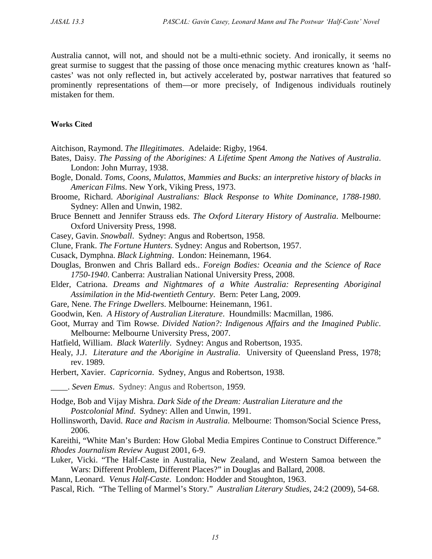Australia cannot, will not, and should not be a multi-ethnic society. And ironically, it seems no great surmise to suggest that the passing of those once menacing mythic creatures known as 'halfcastes' was not only reflected in, but actively accelerated by, postwar narratives that featured so prominently representations of them—or more precisely, of Indigenous individuals routinely mistaken for them.

## **Works Cited**

Aitchison, Raymond. *The Illegitimates*. Adelaide: Rigby, 1964.

- Bates, Daisy. *The Passing of the Aborigines: A Lifetime Spent Among the Natives of Australia*. London: John Murray, 1938.
- Bogle, Donald. *Toms, Coons, Mulattos, Mammies and Bucks: an interpretive history of blacks in American Films*. New York, Viking Press, 1973.
- Broome, Richard. *Aboriginal Australians: Black Response to White Dominance, 1788-1980*. Sydney: Allen and Unwin, 1982.
- Bruce Bennett and Jennifer Strauss eds. *The Oxford Literary History of Australia*. Melbourne: Oxford University Press, 1998.
- Casey, Gavin. *Snowball*. Sydney: Angus and Robertson, 1958.
- Clune, Frank. *The Fortune Hunters*. Sydney: Angus and Robertson, 1957.
- Cusack, Dymphna. *Black Lightning*. London: Heinemann, 1964.
- Douglas, Bronwen and Chris Ballard eds.. *Foreign Bodies: Oceania and the Science of Race 1750-1940*. Canberra: Australian National University Press, 2008.
- Elder, Catriona. *Dreams and Nightmares of a White Australia: Representing Aboriginal Assimilation in the Mid-twentieth Century*. Bern: Peter Lang, 2009.
- Gare, Nene. *The Fringe Dwellers*. Melbourne: Heinemann, 1961.
- Goodwin, Ken. *A History of Australian Literature*. Houndmills: Macmillan, 1986.
- Goot, Murray and Tim Rowse. *Divided Nation?: Indigenous Affairs and the Imagined Public*. Melbourne: Melbourne University Press, 2007.
- Hatfield, William. *Black Waterlily*. Sydney: Angus and Robertson, 1935.
- Healy, J.J. *Literature and the Aborigine in Australia*. University of Queensland Press, 1978; rev. 1989.
- Herbert, Xavier. *Capricornia*. Sydney, Angus and Robertson, 1938.

\_\_\_\_. *Seven Emus*. Sydney: Angus and Robertson, 1959.

Hodge, Bob and Vijay Mishra. *Dark Side of the Dream: Australian Literature and the Postcolonial Mind*. Sydney: Allen and Unwin, 1991.

Hollinsworth, David. *Race and Racism in Australia*. Melbourne: Thomson/Social Science Press, 2006.

Kareithi, "White Man's Burden: How Global Media Empires Continue to Construct Difference." *Rhodes Journalism Review* August 2001, 6-9.

Luker, Vicki. "The Half-Caste in Australia, New Zealand, and Western Samoa between the Wars: Different Problem, Different Places?" in Douglas and Ballard, 2008.

Mann, Leonard. *Venus Half-Caste*. London: Hodder and Stoughton, 1963.

Pascal, Rich. "The Telling of Marmel's Story." *Australian Literary Studies*, 24:2 (2009), 54-68.